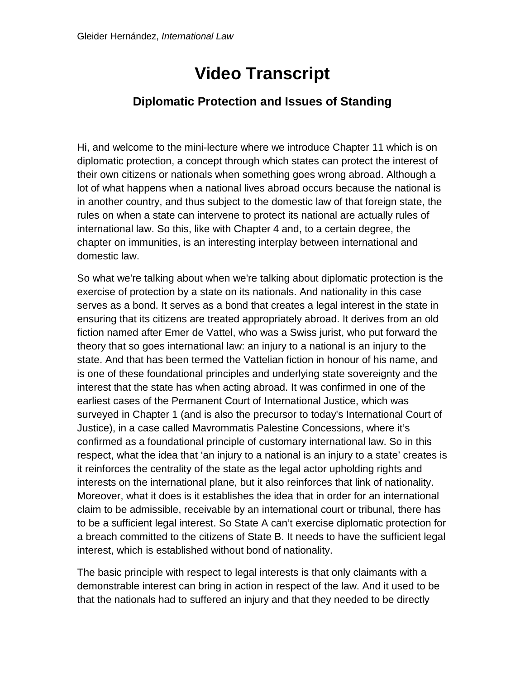## **Video Transcript**

## **Diplomatic Protection and Issues of Standing**

Hi, and welcome to the mini-lecture where we introduce Chapter 11 which is on diplomatic protection, a concept through which states can protect the interest of their own citizens or nationals when something goes wrong abroad. Although a lot of what happens when a national lives abroad occurs because the national is in another country, and thus subject to the domestic law of that foreign state, the rules on when a state can intervene to protect its national are actually rules of international law. So this, like with Chapter 4 and, to a certain degree, the chapter on immunities, is an interesting interplay between international and domestic law.

So what we're talking about when we're talking about diplomatic protection is the exercise of protection by a state on its nationals. And nationality in this case serves as a bond. It serves as a bond that creates a legal interest in the state in ensuring that its citizens are treated appropriately abroad. It derives from an old fiction named after Emer de Vattel, who was a Swiss jurist, who put forward the theory that so goes international law: an injury to a national is an injury to the state. And that has been termed the Vattelian fiction in honour of his name, and is one of these foundational principles and underlying state sovereignty and the interest that the state has when acting abroad. It was confirmed in one of the earliest cases of the Permanent Court of International Justice, which was surveyed in Chapter 1 (and is also the precursor to today's International Court of Justice), in a case called Mavrommatis Palestine Concessions, where it's confirmed as a foundational principle of customary international law. So in this respect, what the idea that 'an injury to a national is an injury to a state' creates is it reinforces the centrality of the state as the legal actor upholding rights and interests on the international plane, but it also reinforces that link of nationality. Moreover, what it does is it establishes the idea that in order for an international claim to be admissible, receivable by an international court or tribunal, there has to be a sufficient legal interest. So State A can't exercise diplomatic protection for a breach committed to the citizens of State B. It needs to have the sufficient legal interest, which is established without bond of nationality.

The basic principle with respect to legal interests is that only claimants with a demonstrable interest can bring in action in respect of the law. And it used to be that the nationals had to suffered an injury and that they needed to be directly